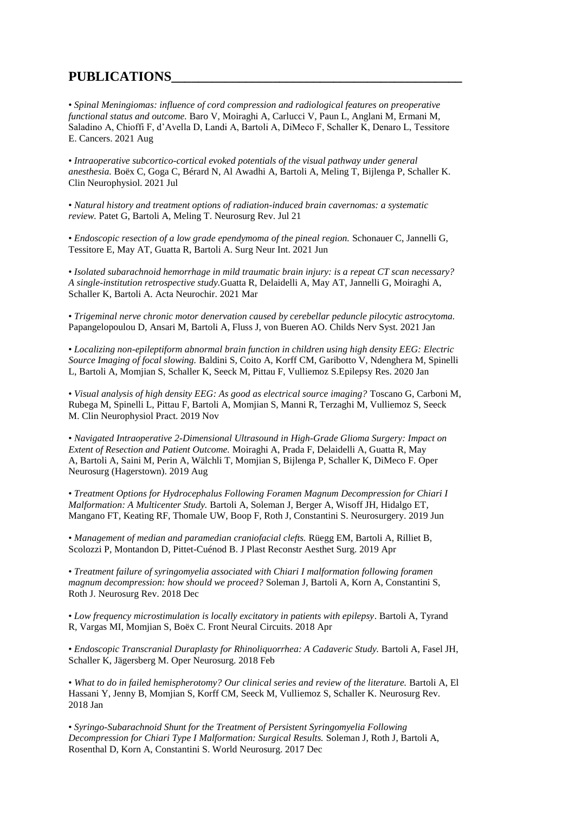## **PUBLICATIONS\_\_\_\_\_\_\_\_\_\_\_\_\_\_\_\_\_\_\_\_\_\_\_\_\_\_\_\_\_\_\_\_\_\_\_\_\_\_\_\_\_\_\_**

• *Spinal Meningiomas: influence of cord compression and radiological features on preoperative functional status and outcome.* Baro V, Moiraghi A, Carlucci V, Paun L, Anglani M, Ermani M, Saladino A, Chioffi F, d'Avella D, Landi A, Bartoli A, DiMeco F, Schaller K, Denaro L, Tessitore E. Cancers. 2021 Aug

• *Intraoperative subcortico-cortical evoked potentials of the visual pathway under general anesthesia.* Boëx C, Goga C, Bérard N, Al Awadhi A, Bartoli A, Meling T, Bijlenga P, Schaller K. Clin Neurophysiol. 2021 Jul

• *Natural history and treatment options of radiation-induced brain cavernomas: a systematic review.* Patet G, Bartoli A, Meling T. Neurosurg Rev. Jul 21

• *Endoscopic resection of a low grade ependymoma of the pineal region.* Schonauer C, Jannelli G, Tessitore E, May AT, Guatta R, Bartoli A. Surg Neur Int. 2021 Jun

• *Isolated subarachnoid hemorrhage in mild traumatic brain injury: is a repeat CT scan necessary? A single-institution retrospective study.*Guatta R, Delaidelli A, May AT, Jannelli G, Moiraghi A, Schaller K, Bartoli A. Acta Neurochir. 2021 Mar

• *Trigeminal nerve chronic motor denervation caused by cerebellar peduncle pilocytic astrocytoma.* Papangelopoulou D, Ansari M, Bartoli A, Fluss J, von Bueren AO. Childs Nerv Syst. 2021 Jan

• *Localizing non-epileptiform abnormal brain function in children using high density EEG: Electric Source Imaging of focal slowing.* Baldini S, Coito A, Korff CM, Garibotto V, Ndenghera M, Spinelli L, Bartoli A, Momjian S, Schaller K, Seeck M, Pittau F, Vulliemoz S.Epilepsy Res. 2020 Jan

• *Visual analysis of high density EEG: As good as electrical source imaging?* Toscano G, Carboni M, Rubega M, Spinelli L, Pittau F, Bartoli A, Momjian S, Manni R, Terzaghi M, Vulliemoz S, Seeck M. Clin Neurophysiol Pract. 2019 Nov

• *Navigated Intraoperative 2-Dimensional Ultrasound in High-Grade Glioma Surgery: Impact on Extent of Resection and Patient Outcome.* Moiraghi A, Prada F, Delaidelli A, Guatta R, May A, Bartoli A, Saini M, Perin A, Wälchli T, Momjian S, Bijlenga P, Schaller K, DiMeco F. Oper Neurosurg (Hagerstown). 2019 Aug

• *Treatment Options for Hydrocephalus Following Foramen Magnum Decompression for Chiari I Malformation: A Multicenter Study.* Bartoli A, Soleman J, Berger A, Wisoff JH, Hidalgo ET, Mangano FT, Keating RF, Thomale UW, Boop F, Roth J, Constantini S. Neurosurgery. 2019 Jun

• *Management of median and paramedian craniofacial clefts.* Rüegg EM, Bartoli A, Rilliet B, Scolozzi P, Montandon D, Pittet-Cuénod B. J Plast Reconstr Aesthet Surg. 2019 Apr

• *Treatment failure of syringomyelia associated with Chiari I malformation following foramen magnum decompression: how should we proceed?* Soleman J, Bartoli A, Korn A, Constantini S, Roth J. Neurosurg Rev. 2018 Dec

• *Low frequency microstimulation is locally excitatory in patients with epilepsy*. Bartoli A, Tyrand R, Vargas MI, Momjian S, Boëx C. Front Neural Circuits. 2018 Apr

• *Endoscopic Transcranial Duraplasty for Rhinoliquorrhea: A Cadaveric Study.* Bartoli A, Fasel JH, Schaller K, Jägersberg M. Oper Neurosurg. 2018 Feb

• What to do in failed hemispherotomy? Our clinical series and review of the literature. Bartoli A, El Hassani Y, Jenny B, Momjian S, Korff CM, Seeck M, Vulliemoz S, Schaller K. Neurosurg Rev. 2018 Jan

• *Syringo-Subarachnoid Shunt for the Treatment of Persistent Syringomyelia Following Decompression for Chiari Type I Malformation: Surgical Results.* Soleman J, Roth J, Bartoli A, Rosenthal D, Korn A, Constantini S. World Neurosurg. 2017 Dec